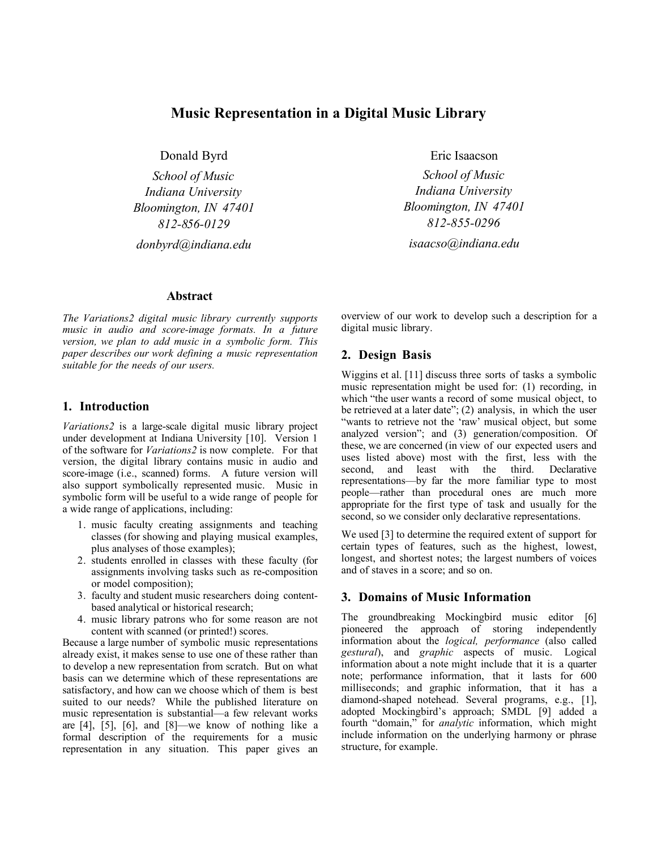# **Music Representation in a Digital Music Library**

Donald Byrd

*School of Music Indiana University Bloomington, IN 47401 812-856-0129 donbyrd@indiana.edu*

#### **Abstract**

*The Variations2 digital music library currently supports music in audio and score-image formats. In a future version, we plan to add music in a symbolic form. This paper describes our work defining a music representation suitable for the needs of our users.*

### **1. Introduction**

*Variations2* is a large-scale digital music library project under development at Indiana University [10]. Version 1 of the software for *Variations2* is now complete. For that version, the digital library contains music in audio and score-image (i.e., scanned) forms. A future version will also support symbolically represented music. Music in symbolic form will be useful to a wide range of people for a wide range of applications, including:

- 1. music faculty creating assignments and teaching classes (for showing and playing musical examples, plus analyses of those examples);
- 2. students enrolled in classes with these faculty (for assignments involving tasks such as re-composition or model composition);
- 3. faculty and student music researchers doing contentbased analytical or historical research;
- 4. music library patrons who for some reason are not content with scanned (or printed!) scores.

Because a large number of symbolic music representations already exist, it makes sense to use one of these rather than to develop a new representation from scratch. But on what basis can we determine which of these representations are satisfactory, and how can we choose which of them is best suited to our needs? While the published literature on music representation is substantial—a few relevant works are [4], [5], [6], and [8]—we know of nothing like a formal description of the requirements for a music representation in any situation. This paper gives an Eric Isaacson

*School of Music Indiana University Bloomington, IN 47401 812-855-0296 isaacso@indiana.edu*

overview of our work to develop such a description for a digital music library.

### **2. Design Basis**

Wiggins et al. [11] discuss three sorts of tasks a symbolic music representation might be used for: (1) recording, in which "the user wants a record of some musical object, to be retrieved at a later date"; (2) analysis, in which the user "wants to retrieve not the 'raw' musical object, but some analyzed version"; and (3) generation/composition. Of these, we are concerned (in view of our expected users and uses listed above) most with the first, less with the second, and least with the third. Declarative representations—by far the more familiar type to most people—rather than procedural ones are much more appropriate for the first type of task and usually for the second, so we consider only declarative representations.

We used [3] to determine the required extent of support for certain types of features, such as the highest, lowest, longest, and shortest notes; the largest numbers of voices and of staves in a score; and so on.

### **3. Domains of Music Information**

The groundbreaking Mockingbird music editor [6] pioneered the approach of storing independently information about the *logical, performance* (also called *gestural*), and *graphic* aspects of music. Logical information about a note might include that it is a quarter note; performance information, that it lasts for 600 milliseconds; and graphic information, that it has a diamond-shaped notehead. Several programs, e.g., [1], adopted Mockingbird's approach; SMDL [9] added a fourth "domain," for *analytic* information, which might include information on the underlying harmony or phrase structure, for example.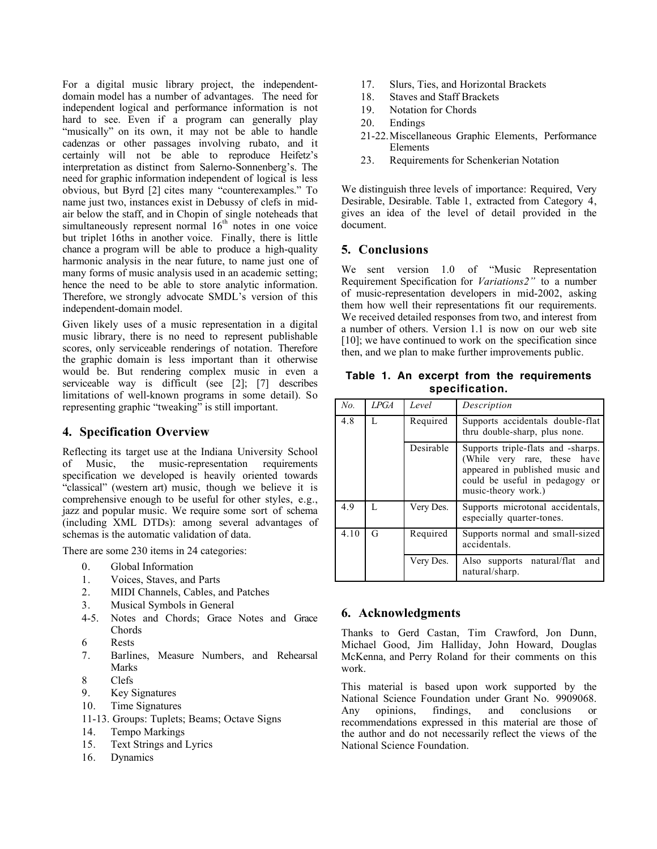For a digital music library project, the independentdomain model has a number of advantages. The need for independent logical and performance information is not hard to see. Even if a program can generally play "musically" on its own, it may not be able to handle cadenzas or other passages involving rubato, and it certainly will not be able to reproduce Heifetz's interpretation as distinct from Salerno-Sonnenberg's. The need for graphic information independent of logical is less obvious, but Byrd [2] cites many "counterexamples." To name just two, instances exist in Debussy of clefs in midair below the staff, and in Chopin of single noteheads that simultaneously represent normal  $16<sup>th</sup>$  notes in one voice but triplet 16ths in another voice. Finally, there is little chance a program will be able to produce a high-quality harmonic analysis in the near future, to name just one of many forms of music analysis used in an academic setting; hence the need to be able to store analytic information. Therefore, we strongly advocate SMDL's version of this independent-domain model.

Given likely uses of a music representation in a digital music library, there is no need to represent publishable scores, only serviceable renderings of notation. Therefore the graphic domain is less important than it otherwise would be. But rendering complex music in even a serviceable way is difficult (see [2]; [7] describes limitations of well-known programs in some detail). So representing graphic "tweaking" is still important.

## **4. Specification Overview**

Reflecting its target use at the Indiana University School of Music, the music-representation requirements specification we developed is heavily oriented towards "classical" (western art) music, though we believe it is comprehensive enough to be useful for other styles, e.g., jazz and popular music. We require some sort of schema (including XML DTDs): among several advantages of schemas is the automatic validation of data.

There are some 230 items in 24 categories:

- 0. Global Information
- 1. Voices, Staves, and Parts
- 2. MIDI Channels, Cables, and Patches
- 3. Musical Symbols in General
- 4-5. Notes and Chords; Grace Notes and Grace Chords
- 6 Rests
- 7. Barlines, Measure Numbers, and Rehearsal Marks
- 8 Clefs
- 9. Key Signatures
- 10. Time Signatures
- 11-13. Groups: Tuplets; Beams; Octave Signs
- 14. Tempo Markings
- 15. Text Strings and Lyrics
- 16. Dynamics
- 17. Slurs, Ties, and Horizontal Brackets
- 18. Staves and Staff Brackets
- 19. Notation for Chords
- 20. Endings
- 21-22.Miscellaneous Graphic Elements, Performance Elements
- 23. Requirements for Schenkerian Notation

We distinguish three levels of importance: Required, Very Desirable, Desirable. Table 1, extracted from Category 4, gives an idea of the level of detail provided in the document.

## **5. Conclusions**

We sent version 1.0 of "Music Representation Requirement Specification for *Variations2"* to a number of music-representation developers in mid-2002, asking them how well their representations fit our requirements. We received detailed responses from two, and interest from a number of others. Version 1.1 is now on our web site [10]; we have continued to work on the specification since then, and we plan to make further improvements public.

**Table 1. An excerpt from the requirements specification.**

| No.  | LPGA | Level     | Description                                                                                                                                                    |
|------|------|-----------|----------------------------------------------------------------------------------------------------------------------------------------------------------------|
| 4.8  | L    | Required  | Supports accidentals double-flat<br>thru double-sharp, plus none.                                                                                              |
|      |      | Desirable | Supports triple-flats and -sharps.<br>(While very rare, these have<br>appeared in published music and<br>could be useful in pedagogy or<br>music-theory work.) |
| 4.9  | L    | Very Des. | Supports microtonal accidentals,<br>especially quarter-tones.                                                                                                  |
| 4.10 | G    | Required  | Supports normal and small-sized<br>accidentals.                                                                                                                |
|      |      | Very Des. | Also supports natural/flat<br>and<br>natural/sharp.                                                                                                            |

## **6. Acknowledgments**

Thanks to Gerd Castan, Tim Crawford, Jon Dunn, Michael Good, Jim Halliday, John Howard, Douglas McKenna, and Perry Roland for their comments on this work.

This material is based upon work supported by the National Science Foundation under Grant No. 9909068. Any opinions, findings, and conclusions or recommendations expressed in this material are those of the author and do not necessarily reflect the views of the National Science Foundation.